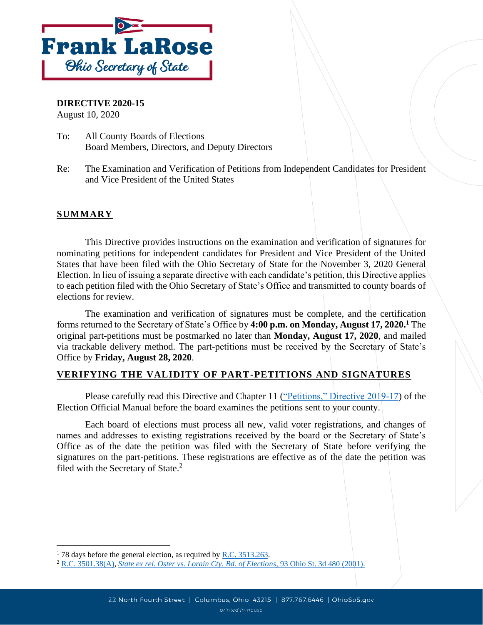

**DIRECTIVE 2020-15**

August 10, 2020

- To: All County Boards of Elections Board Members, Directors, and Deputy Directors
- Re: The Examination and Verification of Petitions from Independent Candidates for President and Vice President of the United States

# **SUMMARY**

This Directive provides instructions on the examination and verification of signatures for nominating petitions for independent candidates for President and Vice President of the United States that have been filed with the Ohio Secretary of State for the November 3, 2020 General Election. In lieu of issuing a separate directive with each candidate's petition, this Directive applies to each petition filed with the Ohio Secretary of State's Office and transmitted to county boards of elections for review.

The examination and verification of signatures must be complete, and the certification forms returned to the Secretary of State's Office by **4:00 p.m. on Monday, August 17, 2020. <sup>1</sup>** The original part-petitions must be postmarked no later than **Monday, August 17, 2020**, and mailed via trackable delivery method. The part-petitions must be received by the Secretary of State's Office by **Friday, August 28, 2020**.

## **VERIFYING THE VALIDITY OF PART-PETITIONS AND SIGNATURES**

Please carefully read this Directive and Chapter 11 [\("Petitions," Directive 2019-17\)](https://www.ohiosos.gov/globalassets/elections/directives/2019/dir2019-17_eom_ch_11.pdf) of the Election Official Manual before the board examines the petitions sent to your county.

Each board of elections must process all new, valid voter registrations, and changes of names and addresses to existing registrations received by the board or the Secretary of State's Office as of the date the petition was filed with the Secretary of State before verifying the signatures on the part-petitions. These registrations are effective as of the date the petition was filed with the Secretary of State. $2$ 

 $178$  days before the general election, as required by R.C.  $3513.263$ .

<sup>2</sup> [R.C. 3501.38\(A\),](http://codes.ohio.gov/orc/3501.38) *[State ex rel. Oster vs. Lorain Cty. Bd. of Elections,](https://www.supremecourt.ohio.gov/rod/docs/pdf/0/2001/2001-Ohio-1605.pdf)* 93 Ohio St. 3d 480 (2001).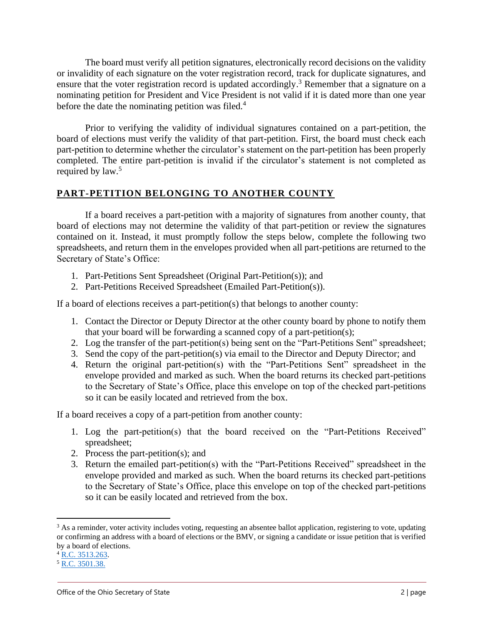The board must verify all petition signatures, electronically record decisions on the validity or invalidity of each signature on the voter registration record, track for duplicate signatures, and ensure that the voter registration record is updated accordingly.<sup>3</sup> Remember that a signature on a nominating petition for President and Vice President is not valid if it is dated more than one year before the date the nominating petition was filed. $4$ 

Prior to verifying the validity of individual signatures contained on a part-petition, the board of elections must verify the validity of that part-petition. First, the board must check each part-petition to determine whether the circulator's statement on the part-petition has been properly completed. The entire part-petition is invalid if the circulator's statement is not completed as required by law.<sup>5</sup>

## **PART-PETITION BELONGING TO ANOTHER COUNTY**

If a board receives a part-petition with a majority of signatures from another county, that board of elections may not determine the validity of that part-petition or review the signatures contained on it. Instead, it must promptly follow the steps below, complete the following two spreadsheets, and return them in the envelopes provided when all part-petitions are returned to the Secretary of State's Office:

- 1. Part-Petitions Sent Spreadsheet (Original Part-Petition(s)); and
- 2. Part-Petitions Received Spreadsheet (Emailed Part-Petition(s)).

If a board of elections receives a part-petition(s) that belongs to another county:

- 1. Contact the Director or Deputy Director at the other county board by phone to notify them that your board will be forwarding a scanned copy of a part-petition(s);
- 2. Log the transfer of the part-petition(s) being sent on the "Part-Petitions Sent" spreadsheet;
- 3. Send the copy of the part-petition(s) via email to the Director and Deputy Director; and
- 4. Return the original part-petition(s) with the "Part-Petitions Sent" spreadsheet in the envelope provided and marked as such. When the board returns its checked part-petitions to the Secretary of State's Office, place this envelope on top of the checked part-petitions so it can be easily located and retrieved from the box.

If a board receives a copy of a part-petition from another county:

- 1. Log the part-petition(s) that the board received on the "Part-Petitions Received" spreadsheet;
- 2. Process the part-petition(s); and
- 3. Return the emailed part-petition(s) with the "Part-Petitions Received" spreadsheet in the envelope provided and marked as such. When the board returns its checked part-petitions to the Secretary of State's Office, place this envelope on top of the checked part-petitions so it can be easily located and retrieved from the box.

<sup>&</sup>lt;sup>3</sup> As a reminder, voter activity includes voting, requesting an absentee ballot application, registering to vote, updating or confirming an address with a board of elections or the BMV, or signing a candidate or issue petition that is verified by a board of elections.

<sup>&</sup>lt;sup>4</sup> [R.C. 3513.263.](http://codes.ohio.gov/orc/3513.263)

<sup>5</sup> [R.C. 3501.38.](http://codes.ohio.gov/orc/3501.38)